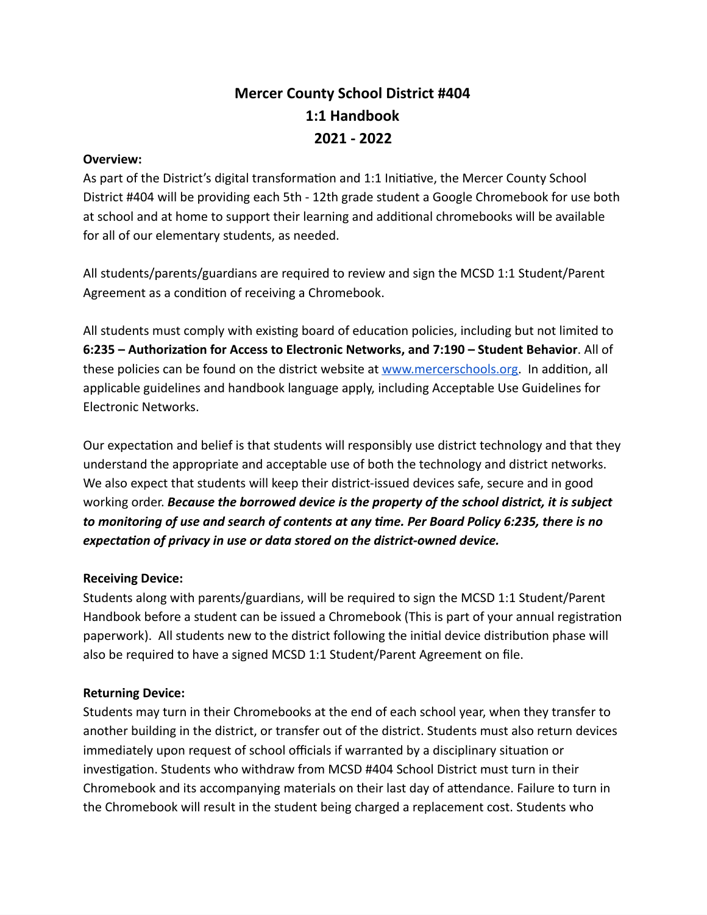# **Mercer County School District #404 1:1 Handbook 2021 - 2022**

# **Overview:**

As part of the District's digital transformation and 1:1 Initiative, the Mercer County School District #404 will be providing each 5th - 12th grade student a Google Chromebook for use both at school and at home to support their learning and additional chromebooks will be available for all of our elementary students, as needed.

All students/parents/guardians are required to review and sign the MCSD 1:1 Student/Parent Agreement as a condition of receiving a Chromebook.

All students must comply with existing board of education policies, including but not limited to **6:235 – Authorization for Access to Electronic Networks, and 7:190 – Student Behavior**. All of these policies can be found on the district website at [www.mercerschools.org](http://www.mercerschools.org/). In addition, all applicable guidelines and handbook language apply, including Acceptable Use Guidelines for Electronic Networks.

Our expectation and belief is that students will responsibly use district technology and that they understand the appropriate and acceptable use of both the technology and district networks. We also expect that students will keep their district-issued devices safe, secure and in good working order. *Because the borrowed device is the property of the school district, it is subject to monitoring of use and search of contents at any time. Per Board Policy 6:235, there is no expectation of privacy in use or data stored on the district-owned device.*

# **Receiving Device:**

Students along with parents/guardians, will be required to sign the MCSD 1:1 Student/Parent Handbook before a student can be issued a Chromebook (This is part of your annual registration paperwork). All students new to the district following the initial device distribution phase will also be required to have a signed MCSD 1:1 Student/Parent Agreement on file.

# **Returning Device:**

Students may turn in their Chromebooks at the end of each school year, when they transfer to another building in the district, or transfer out of the district. Students must also return devices immediately upon request of school officials if warranted by a disciplinary situation or investigation. Students who withdraw from MCSD #404 School District must turn in their Chromebook and its accompanying materials on their last day of attendance. Failure to turn in the Chromebook will result in the student being charged a replacement cost. Students who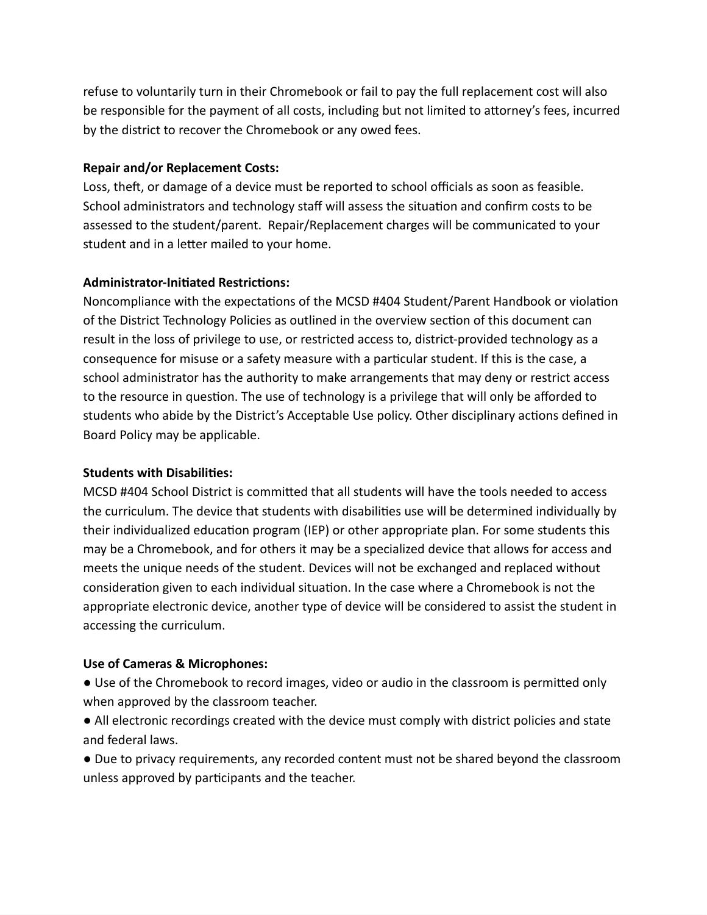refuse to voluntarily turn in their Chromebook or fail to pay the full replacement cost will also be responsible for the payment of all costs, including but not limited to attorney's fees, incurred by the district to recover the Chromebook or any owed fees.

# **Repair and/or Replacement Costs:**

Loss, theft, or damage of a device must be reported to school officials as soon as feasible. School administrators and technology staff will assess the situation and confirm costs to be assessed to the student/parent. Repair/Replacement charges will be communicated to your student and in a letter mailed to your home.

# **Administrator-Initiated Restrictions:**

Noncompliance with the expectations of the MCSD #404 Student/Parent Handbook or violation of the District Technology Policies as outlined in the overview section of this document can result in the loss of privilege to use, or restricted access to, district-provided technology as a consequence for misuse or a safety measure with a particular student. If this is the case, a school administrator has the authority to make arrangements that may deny or restrict access to the resource in question. The use of technology is a privilege that will only be afforded to students who abide by the District's Acceptable Use policy. Other disciplinary actions defined in Board Policy may be applicable.

#### **Students with Disabilities:**

MCSD #404 School District is committed that all students will have the tools needed to access the curriculum. The device that students with disabilities use will be determined individually by their individualized education program (IEP) or other appropriate plan. For some students this may be a Chromebook, and for others it may be a specialized device that allows for access and meets the unique needs of the student. Devices will not be exchanged and replaced without consideration given to each individual situation. In the case where a Chromebook is not the appropriate electronic device, another type of device will be considered to assist the student in accessing the curriculum.

# **Use of Cameras & Microphones:**

● Use of the Chromebook to record images, video or audio in the classroom is permitted only when approved by the classroom teacher.

● All electronic recordings created with the device must comply with district policies and state and federal laws.

● Due to privacy requirements, any recorded content must not be shared beyond the classroom unless approved by participants and the teacher.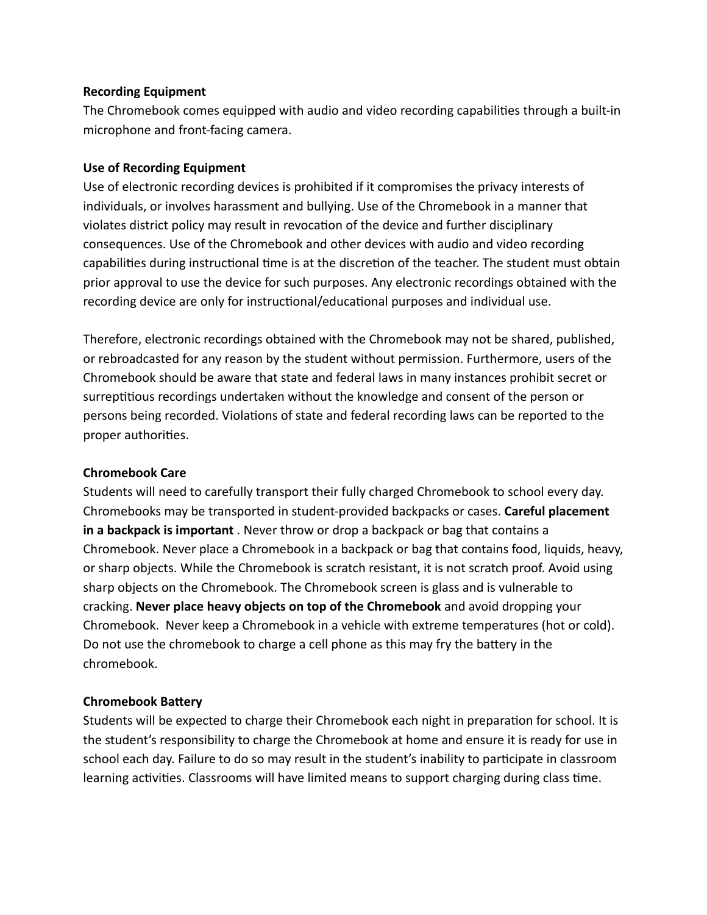#### **Recording Equipment**

The Chromebook comes equipped with audio and video recording capabilities through a built-in microphone and front-facing camera.

# **Use of Recording Equipment**

Use of electronic recording devices is prohibited if it compromises the privacy interests of individuals, or involves harassment and bullying. Use of the Chromebook in a manner that violates district policy may result in revocation of the device and further disciplinary consequences. Use of the Chromebook and other devices with audio and video recording capabilities during instructional time is at the discretion of the teacher. The student must obtain prior approval to use the device for such purposes. Any electronic recordings obtained with the recording device are only for instructional/educational purposes and individual use.

Therefore, electronic recordings obtained with the Chromebook may not be shared, published, or rebroadcasted for any reason by the student without permission. Furthermore, users of the Chromebook should be aware that state and federal laws in many instances prohibit secret or surreptitious recordings undertaken without the knowledge and consent of the person or persons being recorded. Violations of state and federal recording laws can be reported to the proper authorities.

# **Chromebook Care**

Students will need to carefully transport their fully charged Chromebook to school every day. Chromebooks may be transported in student-provided backpacks or cases. **Careful placement in a backpack is important** . Never throw or drop a backpack or bag that contains a Chromebook. Never place a Chromebook in a backpack or bag that contains food, liquids, heavy, or sharp objects. While the Chromebook is scratch resistant, it is not scratch proof. Avoid using sharp objects on the Chromebook. The Chromebook screen is glass and is vulnerable to cracking. **Never place heavy objects on top of the Chromebook** and avoid dropping your Chromebook. Never keep a Chromebook in a vehicle with extreme temperatures (hot or cold). Do not use the chromebook to charge a cell phone as this may fry the battery in the chromebook.

# **Chromebook Battery**

Students will be expected to charge their Chromebook each night in preparation for school. It is the student's responsibility to charge the Chromebook at home and ensure it is ready for use in school each day. Failure to do so may result in the student's inability to participate in classroom learning activities. Classrooms will have limited means to support charging during class time.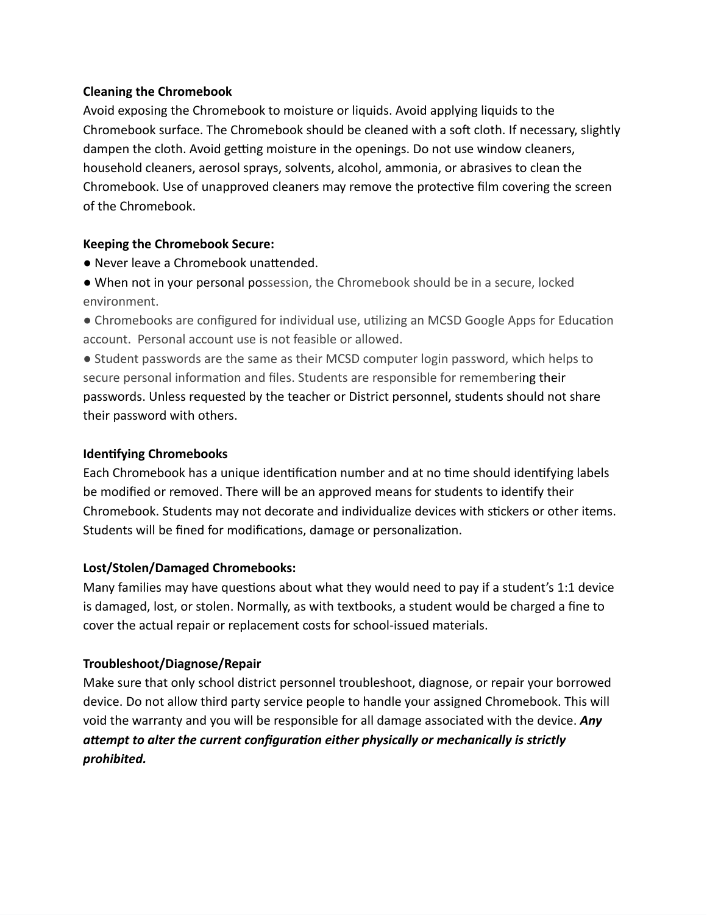# **Cleaning the Chromebook**

Avoid exposing the Chromebook to moisture or liquids. Avoid applying liquids to the Chromebook surface. The Chromebook should be cleaned with a soft cloth. If necessary, slightly dampen the cloth. Avoid getting moisture in the openings. Do not use window cleaners, household cleaners, aerosol sprays, solvents, alcohol, ammonia, or abrasives to clean the Chromebook. Use of unapproved cleaners may remove the protective film covering the screen of the Chromebook.

# **Keeping the Chromebook Secure:**

- Never leave a Chromebook unattended.
- When not in your personal possession, the Chromebook should be in a secure, locked environment.
- Chromebooks are configured for individual use, utilizing an MCSD Google Apps for Education account. Personal account use is not feasible or allowed.

● Student passwords are the same as their MCSD computer login password, which helps to secure personal information and files. Students are responsible for remembering their passwords. Unless requested by the teacher or District personnel, students should not share their password with others.

# **Identifying Chromebooks**

Each Chromebook has a unique identification number and at no time should identifying labels be modified or removed. There will be an approved means for students to identify their Chromebook. Students may not decorate and individualize devices with stickers or other items. Students will be fined for modifications, damage or personalization.

# **Lost/Stolen/Damaged Chromebooks:**

Many families may have questions about what they would need to pay if a student's 1:1 device is damaged, lost, or stolen. Normally, as with textbooks, a student would be charged a fine to cover the actual repair or replacement costs for school-issued materials.

# **Troubleshoot/Diagnose/Repair**

Make sure that only school district personnel troubleshoot, diagnose, or repair your borrowed device. Do not allow third party service people to handle your assigned Chromebook. This will void the warranty and you will be responsible for all damage associated with the device. *Any attempt to alter the current configuration either physically or mechanically is strictly prohibited.*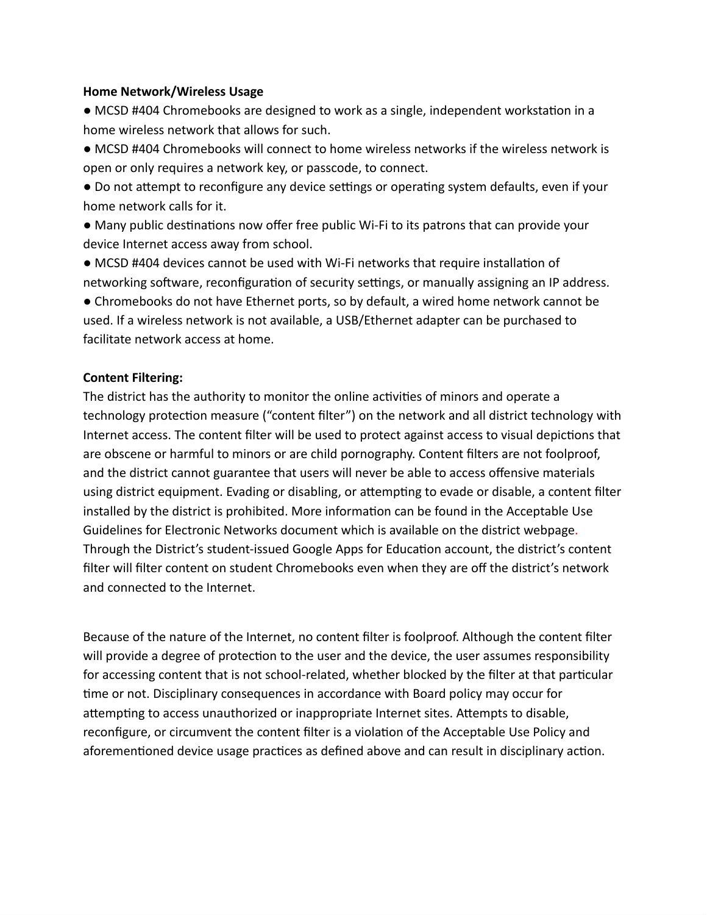#### **Home Network/Wireless Usage**

● MCSD #404 Chromebooks are designed to work as a single, independent workstation in a home wireless network that allows for such.

● MCSD #404 Chromebooks will connect to home wireless networks if the wireless network is open or only requires a network key, or passcode, to connect.

● Do not attempt to reconfigure any device settings or operating system defaults, even if your home network calls for it.

● Many public destinations now offer free public Wi-Fi to its patrons that can provide your device Internet access away from school.

● MCSD #404 devices cannot be used with Wi-Fi networks that require installation of networking software, reconfiguration of security settings, or manually assigning an IP address.

● Chromebooks do not have Ethernet ports, so by default, a wired home network cannot be used. If a wireless network is not available, a USB/Ethernet adapter can be purchased to facilitate network access at home.

#### **Content Filtering:**

The district has the authority to monitor the online activities of minors and operate a technology protection measure ("content filter") on the network and all district technology with Internet access. The content filter will be used to protect against access to visual depictions that are obscene or harmful to minors or are child pornography. Content filters are not foolproof, and the district cannot guarantee that users will never be able to access offensive materials using district equipment. Evading or disabling, or attempting to evade or disable, a content filter installed by the district is prohibited. More information can be found in the Acceptable Use Guidelines for Electronic Networks document which is available on the district webpage. Through the District's student-issued Google Apps for Education account, the district's content filter will filter content on student Chromebooks even when they are off the district's network and connected to the Internet.

Because of the nature of the Internet, no content filter is foolproof. Although the content filter will provide a degree of protection to the user and the device, the user assumes responsibility for accessing content that is not school-related, whether blocked by the filter at that particular time or not. Disciplinary consequences in accordance with Board policy may occur for attempting to access unauthorized or inappropriate Internet sites. Attempts to disable, reconfigure, or circumvent the content filter is a violation of the Acceptable Use Policy and aforementioned device usage practices as defined above and can result in disciplinary action.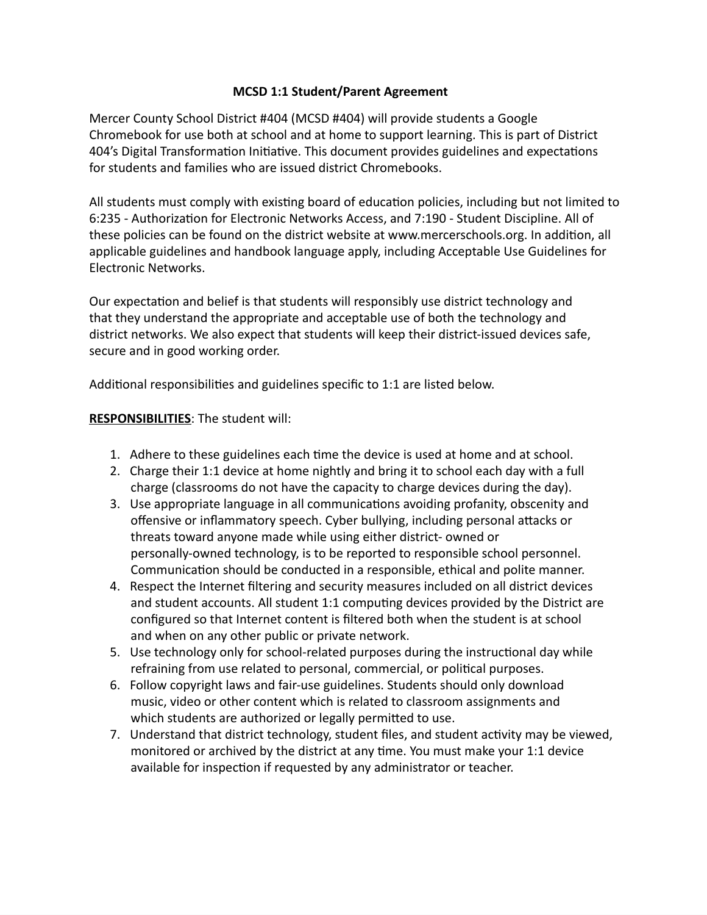## **MCSD 1:1 Student/Parent Agreement**

Mercer County School District #404 (MCSD #404) will provide students a Google Chromebook for use both at school and at home to support learning. This is part of District 404's Digital Transformation Initiative. This document provides guidelines and expectations for students and families who are issued district Chromebooks.

All students must comply with existing board of education policies, including but not limited to 6:235 - Authorization for Electronic Networks Access, and 7:190 - Student Discipline. All of these policies can be found on the district website at www.mercerschools.org. In addition, all applicable guidelines and handbook language apply, including Acceptable Use Guidelines for Electronic Networks.

Our expectation and belief is that students will responsibly use district technology and that they understand the appropriate and acceptable use of both the technology and district networks. We also expect that students will keep their district-issued devices safe, secure and in good working order.

Additional responsibilities and guidelines specific to 1:1 are listed below.

# **RESPONSIBILITIES**: The student will:

- 1. Adhere to these guidelines each time the device is used at home and at school.
- 2. Charge their 1:1 device at home nightly and bring it to school each day with a full charge (classrooms do not have the capacity to charge devices during the day).
- 3. Use appropriate language in all communications avoiding profanity, obscenity and offensive or inflammatory speech. Cyber bullying, including personal attacks or threats toward anyone made while using either district- owned or personally-owned technology, is to be reported to responsible school personnel. Communication should be conducted in a responsible, ethical and polite manner.
- 4. Respect the Internet filtering and security measures included on all district devices and student accounts. All student 1:1 computing devices provided by the District are configured so that Internet content is filtered both when the student is at school and when on any other public or private network.
- 5. Use technology only for school-related purposes during the instructional day while refraining from use related to personal, commercial, or political purposes.
- 6. Follow copyright laws and fair-use guidelines. Students should only download music, video or other content which is related to classroom assignments and which students are authorized or legally permitted to use.
- 7. Understand that district technology, student files, and student activity may be viewed, monitored or archived by the district at any time. You must make your 1:1 device available for inspection if requested by any administrator or teacher.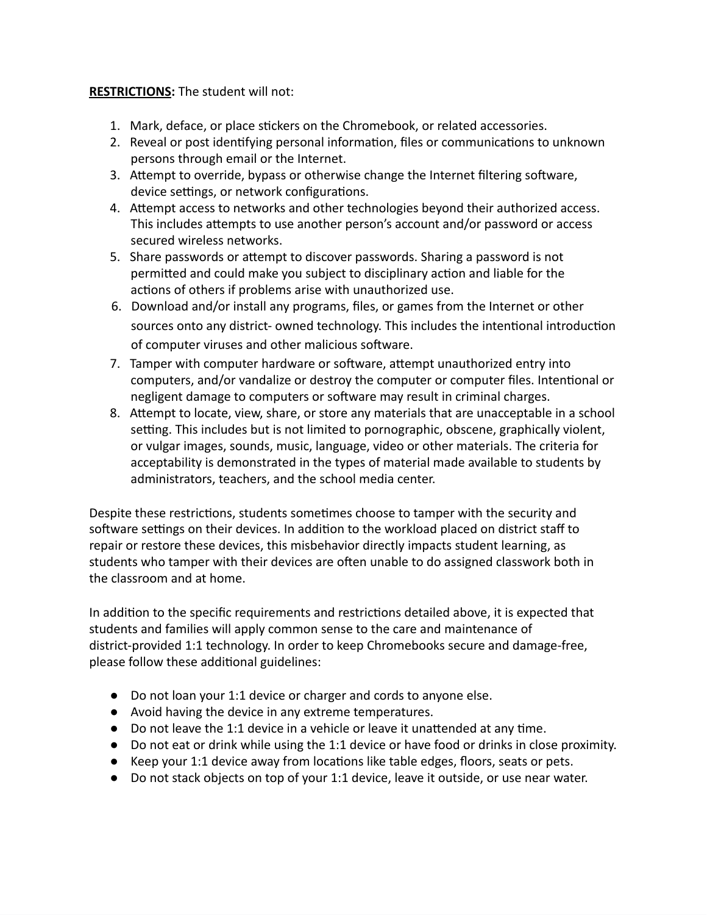# **RESTRICTIONS:** The student will not:

- 1. Mark, deface, or place stickers on the Chromebook, or related accessories.
- 2. Reveal or post identifying personal information, files or communications to unknown persons through email or the Internet.
- 3. Attempt to override, bypass or otherwise change the Internet filtering software, device settings, or network configurations.
- 4. Attempt access to networks and other technologies beyond their authorized access. This includes attempts to use another person's account and/or password or access secured wireless networks.
- 5. Share passwords or attempt to discover passwords. Sharing a password is not permitted and could make you subject to disciplinary action and liable for the actions of others if problems arise with unauthorized use.
- 6. Download and/or install any programs, files, or games from the Internet or other sources onto any district- owned technology. This includes the intentional introduction of computer viruses and other malicious software.
- 7. Tamper with computer hardware or software, attempt unauthorized entry into computers, and/or vandalize or destroy the computer or computer files. Intentional or negligent damage to computers or software may result in criminal charges.
- 8. Attempt to locate, view, share, or store any materials that are unacceptable in a school setting. This includes but is not limited to pornographic, obscene, graphically violent, or vulgar images, sounds, music, language, video or other materials. The criteria for acceptability is demonstrated in the types of material made available to students by administrators, teachers, and the school media center.

Despite these restrictions, students sometimes choose to tamper with the security and software settings on their devices. In addition to the workload placed on district staff to repair or restore these devices, this misbehavior directly impacts student learning, as students who tamper with their devices are often unable to do assigned classwork both in the classroom and at home.

In addition to the specific requirements and restrictions detailed above, it is expected that students and families will apply common sense to the care and maintenance of district-provided 1:1 technology. In order to keep Chromebooks secure and damage-free, please follow these additional guidelines:

- Do not loan your 1:1 device or charger and cords to anyone else.
- Avoid having the device in any extreme temperatures.
- Do not leave the 1:1 device in a vehicle or leave it unattended at any time.
- Do not eat or drink while using the 1:1 device or have food or drinks in close proximity.
- Keep your 1:1 device away from locations like table edges, floors, seats or pets.
- Do not stack objects on top of your 1:1 device, leave it outside, or use near water.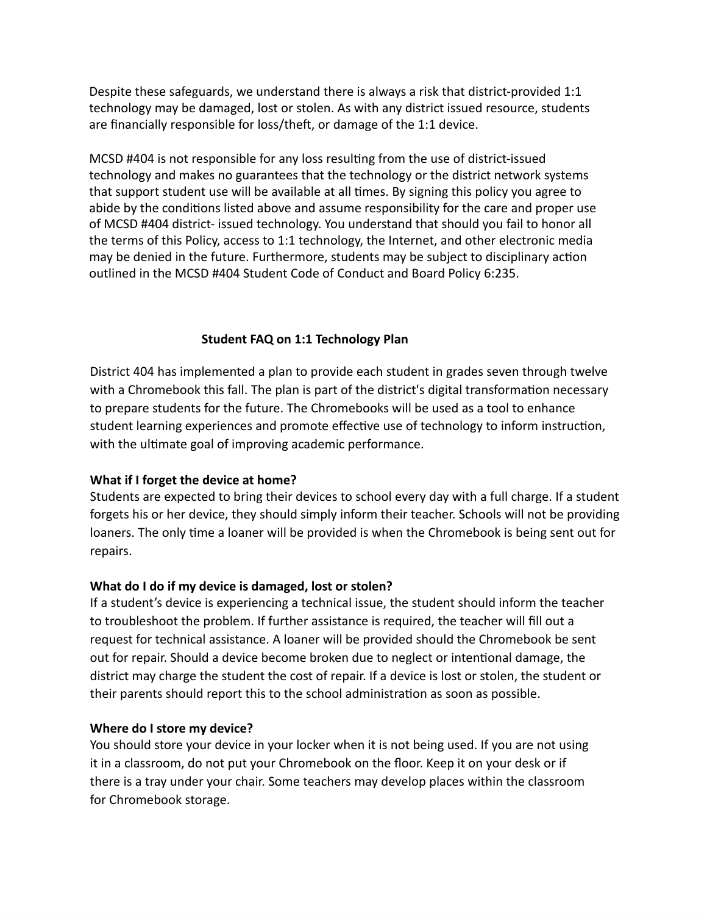Despite these safeguards, we understand there is always a risk that district-provided 1:1 technology may be damaged, lost or stolen. As with any district issued resource, students are financially responsible for loss/theft, or damage of the 1:1 device.

MCSD #404 is not responsible for any loss resulting from the use of district-issued technology and makes no guarantees that the technology or the district network systems that support student use will be available at all times. By signing this policy you agree to abide by the conditions listed above and assume responsibility for the care and proper use of MCSD #404 district- issued technology. You understand that should you fail to honor all the terms of this Policy, access to 1:1 technology, the Internet, and other electronic media may be denied in the future. Furthermore, students may be subject to disciplinary action outlined in the MCSD #404 Student Code of Conduct and Board Policy 6:235.

#### **Student FAQ on 1:1 Technology Plan**

District 404 has implemented a plan to provide each student in grades seven through twelve with a Chromebook this fall. The plan is part of the district's digital transformation necessary to prepare students for the future. The Chromebooks will be used as a tool to enhance student learning experiences and promote effective use of technology to inform instruction, with the ultimate goal of improving academic performance.

#### **What if I forget the device at home?**

Students are expected to bring their devices to school every day with a full charge. If a student forgets his or her device, they should simply inform their teacher. Schools will not be providing loaners. The only time a loaner will be provided is when the Chromebook is being sent out for repairs.

#### **What do I do if my device is damaged, lost or stolen?**

If a student's device is experiencing a technical issue, the student should inform the teacher to troubleshoot the problem. If further assistance is required, the teacher will fill out a request for technical assistance. A loaner will be provided should the Chromebook be sent out for repair. Should a device become broken due to neglect or intentional damage, the district may charge the student the cost of repair. If a device is lost or stolen, the student or their parents should report this to the school administration as soon as possible.

#### **Where do I store my device?**

You should store your device in your locker when it is not being used. If you are not using it in a classroom, do not put your Chromebook on the floor. Keep it on your desk or if there is a tray under your chair. Some teachers may develop places within the classroom for Chromebook storage.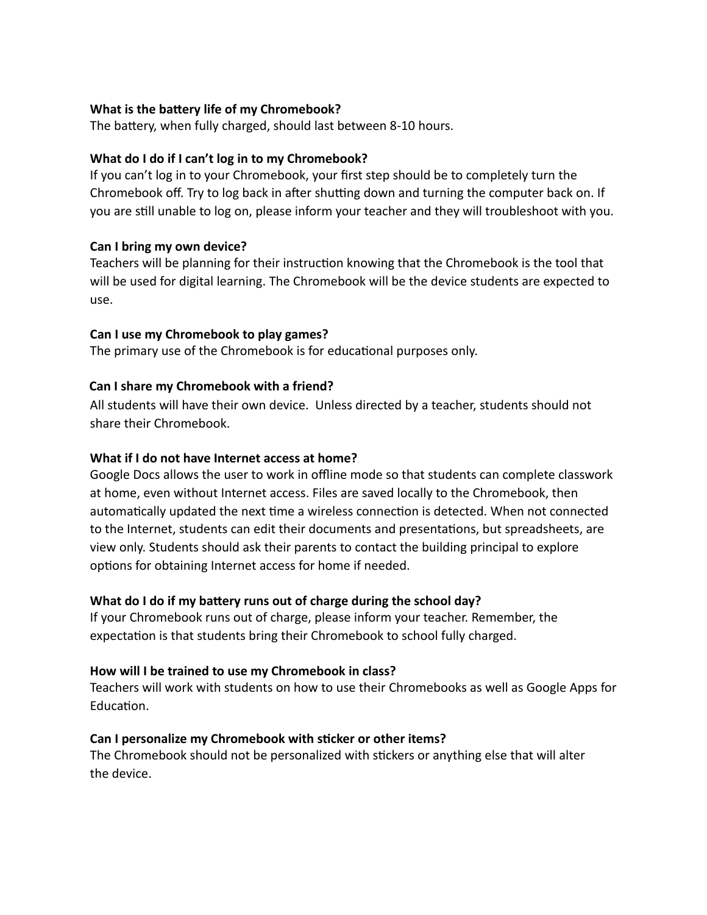## **What is the battery life of my Chromebook?**

The battery, when fully charged, should last between 8-10 hours.

# **What do I do if I can't log in to my Chromebook?**

If you can't log in to your Chromebook, your first step should be to completely turn the Chromebook off. Try to log back in after shutting down and turning the computer back on. If you are still unable to log on, please inform your teacher and they will troubleshoot with you.

# **Can I bring my own device?**

Teachers will be planning for their instruction knowing that the Chromebook is the tool that will be used for digital learning. The Chromebook will be the device students are expected to use.

# **Can I use my Chromebook to play games?**

The primary use of the Chromebook is for educational purposes only.

# **Can I share my Chromebook with a friend?**

All students will have their own device. Unless directed by a teacher, students should not share their Chromebook.

# **What if I do not have Internet access at home?**

Google Docs allows the user to work in offline mode so that students can complete classwork at home, even without Internet access. Files are saved locally to the Chromebook, then automatically updated the next time a wireless connection is detected. When not connected to the Internet, students can edit their documents and presentations, but spreadsheets, are view only. Students should ask their parents to contact the building principal to explore options for obtaining Internet access for home if needed.

# **What do I do if my battery runs out of charge during the school day?**

If your Chromebook runs out of charge, please inform your teacher. Remember, the expectation is that students bring their Chromebook to school fully charged.

# **How will I be trained to use my Chromebook in class?**

Teachers will work with students on how to use their Chromebooks as well as Google Apps for Education.

# **Can I personalize my Chromebook with sticker or other items?**

The Chromebook should not be personalized with stickers or anything else that will alter the device.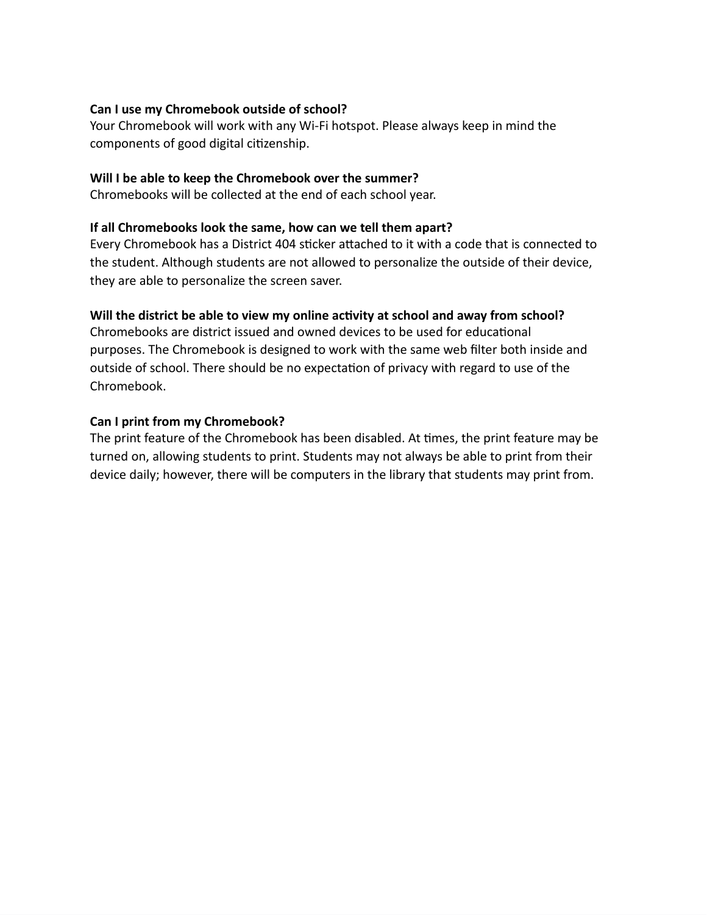## **Can I use my Chromebook outside of school?**

Your Chromebook will work with any Wi-Fi hotspot. Please always keep in mind the components of good digital citizenship.

# **Will I be able to keep the Chromebook over the summer?**

Chromebooks will be collected at the end of each school year.

## **If all Chromebooks look the same, how can we tell them apart?**

Every Chromebook has a District 404 sticker attached to it with a code that is connected to the student. Although students are not allowed to personalize the outside of their device, they are able to personalize the screen saver.

# **Will the district be able to view my online activity at school and away from school?**

Chromebooks are district issued and owned devices to be used for educational purposes. The Chromebook is designed to work with the same web filter both inside and outside of school. There should be no expectation of privacy with regard to use of the Chromebook.

#### **Can I print from my Chromebook?**

The print feature of the Chromebook has been disabled. At times, the print feature may be turned on, allowing students to print. Students may not always be able to print from their device daily; however, there will be computers in the library that students may print from.